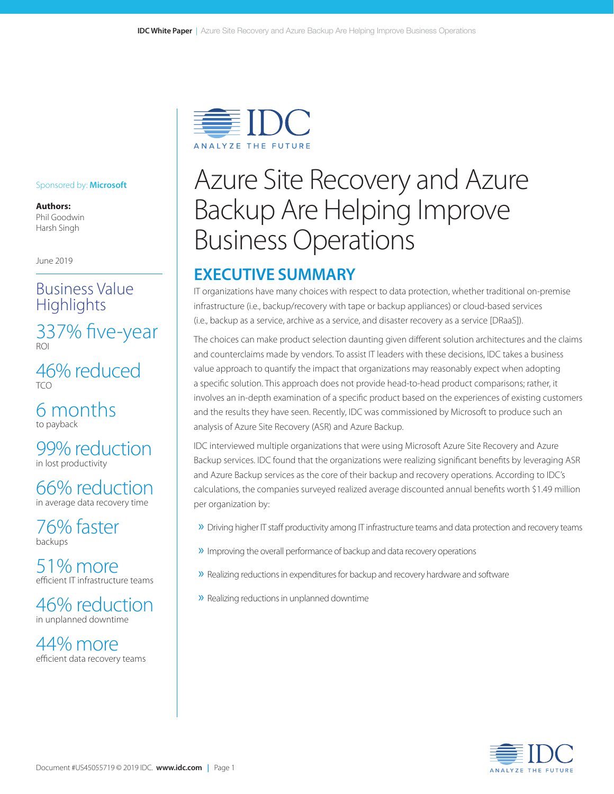

#### Sponsored by: **Microsoft**

**Authors:** Phil Goodwin Harsh Singh

June 2019

# Business Value **Highlights**

337% five-year

46% reduced  $TCO$ 

6 months to payback

99% reduction in lost productivity

66% reduction in average data recovery time

76% faster backups

51% more efficient IT infrastructure teams

46% reduction in unplanned downtime

44% more efficient data recovery teams

# Azure Site Recovery and Azure Backup Are Helping Improve Business Operations

# **EXECUTIVE SUMMARY**

IT organizations have many choices with respect to data protection, whether traditional on-premise infrastructure (i.e., backup/recovery with tape or backup appliances) or cloud-based services (i.e., backup as a service, archive as a service, and disaster recovery as a service [DRaaS]).

The choices can make product selection daunting given different solution architectures and the claims and counterclaims made by vendors. To assist IT leaders with these decisions, IDC takes a business value approach to quantify the impact that organizations may reasonably expect when adopting a specific solution. This approach does not provide head-to-head product comparisons; rather, it involves an in-depth examination of a specific product based on the experiences of existing customers and the results they have seen. Recently, IDC was commissioned by Microsoft to produce such an analysis of Azure Site Recovery (ASR) and Azure Backup.

IDC interviewed multiple organizations that were using Microsoft Azure Site Recovery and Azure Backup services. IDC found that the organizations were realizing significant benefits by leveraging ASR and Azure Backup services as the core of their backup and recovery operations. According to IDC's calculations, the companies surveyed realized average discounted annual benefits worth \$1.49 million per organization by:

- » Driving higher IT staff productivity among IT infrastructure teams and data protection and recovery teams
- » Improving the overall performance of backup and data recovery operations
- » Realizing reductions in expenditures for backup and recovery hardware and software
- » Realizing reductions in unplanned downtime

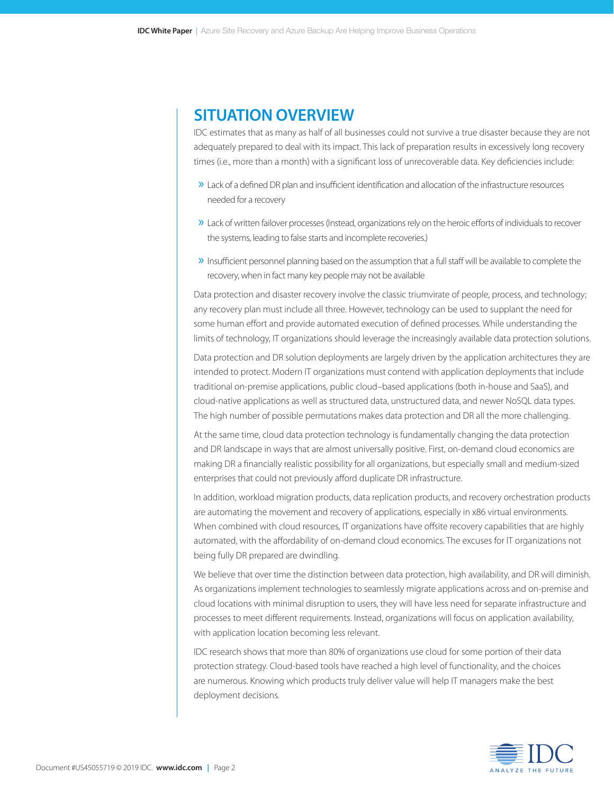### **SITUATION OVERVIEW**

IDC estimates that as many as half of all businesses could not survive a true disaster because they are not adequately prepared to deal with its impact. This lack of preparation results in excessively long recovery times (i.e., more than a month) with a significant loss of unrecoverable data. Key deficiencies include:

- » Lack of a defined DR plan and insufficient identification and allocation of the infrastructure resources needed for a recovery
- » Lack of written failover processes (Instead, organizations rely on the heroic efforts of individuals to recover the systems, leading to false starts and incomplete recoveries.)
- » Insufficient personnel planning based on the assumption that a full staff will be available to complete the recovery, when in fact many key people may not be available

Data protection and disaster recovery involve the classic triumvirate of people, process, and technology; any recovery plan must include all three. However, technology can be used to supplant the need for some human effort and provide automated execution of defined processes. While understanding the limits of technology, IT organizations should leverage the increasingly available data protection solutions.

Data protection and DR solution deployments are largely driven by the application architectures they are intended to protect. Modern IT organizations must contend with application deployments that include traditional on-premise applications, public cloud–based applications (both in-house and SaaS), and cloud-native applications as well as structured data, unstructured data, and newer NoSQL data types. The high number of possible permutations makes data protection and DR all the more challenging.

At the same time, cloud data protection technology is fundamentally changing the data protection and DR landscape in ways that are almost universally positive. First, on-demand cloud economics are making DR a financially realistic possibility for all organizations, but especially small and medium-sized enterprises that could not previously afford duplicate DR infrastructure.

In addition, workload migration products, data replication products, and recovery orchestration products are automating the movement and recovery of applications, especially in x86 virtual environments. When combined with cloud resources, IT organizations have offsite recovery capabilities that are highly automated, with the affordability of on-demand cloud economics. The excuses for IT organizations not being fully DR prepared are dwindling.

We believe that over time the distinction between data protection, high availability, and DR will diminish. As organizations implement technologies to seamlessly migrate applications across and on-premise and cloud locations with minimal disruption to users, they will have less need for separate infrastructure and processes to meet different requirements. Instead, organizations will focus on application availability, with application location becoming less relevant.

IDC research shows that more than 80% of organizations use cloud for some portion of their data protection strategy. Cloud-based tools have reached a high level of functionality, and the choices are numerous. Knowing which products truly deliver value will help IT managers make the best deployment decisions.

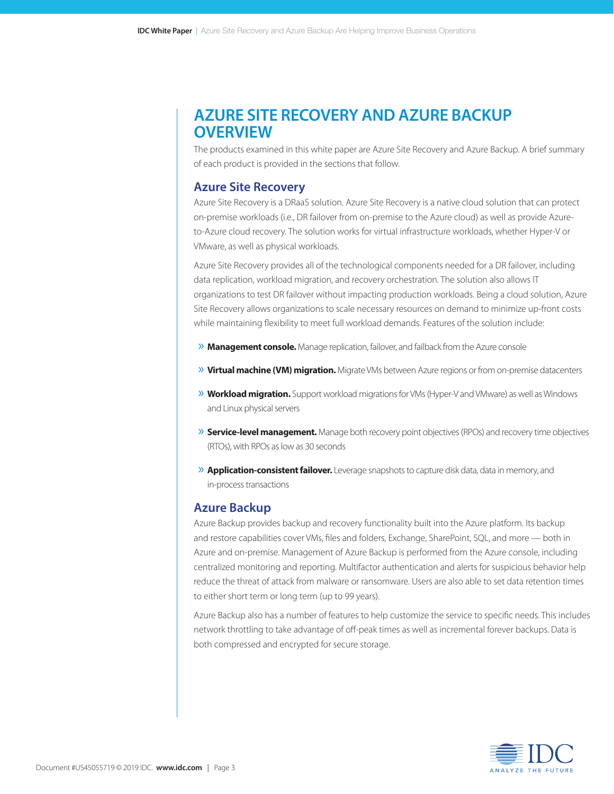# **AZURE SITE RECOVERY AND AZURE BACKUP OVERVIEW**

The products examined in this white paper are Azure Site Recovery and Azure Backup. A brief summary of each product is provided in the sections that follow.

#### **Azure Site Recovery**

Azure Site Recovery is a DRaaS solution. Azure Site Recovery is a native cloud solution that can protect on-premise workloads (i.e., DR failover from on-premise to the Azure cloud) as well as provide Azureto-Azure cloud recovery. The solution works for virtual infrastructure workloads, whether Hyper-V or VMware, as well as physical workloads.

Azure Site Recovery provides all of the technological components needed for a DR failover, including data replication, workload migration, and recovery orchestration. The solution also allows IT organizations to test DR failover without impacting production workloads. Being a cloud solution, Azure Site Recovery allows organizations to scale necessary resources on demand to minimize up-front costs while maintaining flexibility to meet full workload demands. Features of the solution include:

- » **Management console.** Manage replication, failover, and failback from the Azure console
- » **Virtual machine (VM) migration.** Migrate VMs between Azure regions or from on-premise datacenters
- » **Workload migration.** Support workload migrations for VMs (Hyper-V and VMware) as well as Windows and Linux physical servers
- » **Service-level management.** Manage both recovery point objectives (RPOs) and recovery time objectives (RTOs), with RPOs as low as 30 seconds
- » **Application-consistent failover.** Leverage snapshots to capture disk data, data in memory, and in‑process transactions

#### **Azure Backup**

Azure Backup provides backup and recovery functionality built into the Azure platform. Its backup and restore capabilities cover VMs, files and folders, Exchange, SharePoint, SQL, and more — both in Azure and on-premise. Management of Azure Backup is performed from the Azure console, including centralized monitoring and reporting. Multifactor authentication and alerts for suspicious behavior help reduce the threat of attack from malware or ransomware. Users are also able to set data retention times to either short term or long term (up to 99 years).

Azure Backup also has a number of features to help customize the service to specific needs. This includes network throttling to take advantage of off-peak times as well as incremental forever backups. Data is both compressed and encrypted for secure storage.

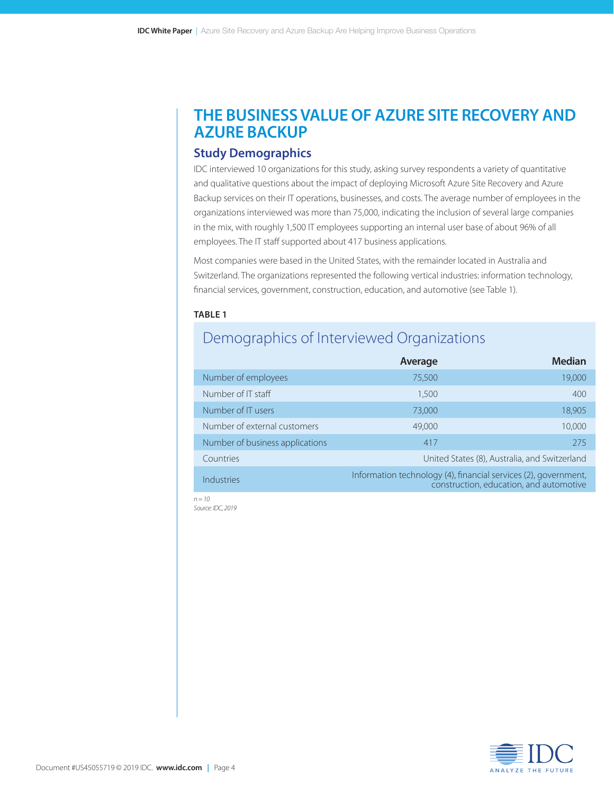# **THE BUSINESS VALUE OF AZURE SITE RECOVERY AND AZURE BACKUP**

### **Study Demographics**

IDC interviewed 10 organizations for this study, asking survey respondents a variety of quantitative and qualitative questions about the impact of deploying Microsoft Azure Site Recovery and Azure Backup services on their IT operations, businesses, and costs. The average number of employees in the organizations interviewed was more than 75,000, indicating the inclusion of several large companies in the mix, with roughly 1,500 IT employees supporting an internal user base of about 96% of all employees. The IT staff supported about 417 business applications.

Most companies were based in the United States, with the remainder located in Australia and Switzerland. The organizations represented the following vertical industries: information technology, financial services, government, construction, education, and automotive (see Table 1).

#### **TABLE 1**

# Demographics of Interviewed Organizations

|                                 | Average                                                         | <b>Median</b>                                 |
|---------------------------------|-----------------------------------------------------------------|-----------------------------------------------|
| Number of employees             | 75,500                                                          | 19,000                                        |
| Number of IT staff              | 1,500                                                           | 400                                           |
| Number of IT users              | 73,000                                                          | 18,905                                        |
| Number of external customers    | 49,000                                                          | 10,000                                        |
| Number of business applications | 417                                                             | 275                                           |
| Countries                       |                                                                 | United States (8), Australia, and Switzerland |
| <b>Industries</b>               | Information technology (4), financial services (2), government, | construction, education, and automotive       |

*n = 10 Source: IDC, 2019*

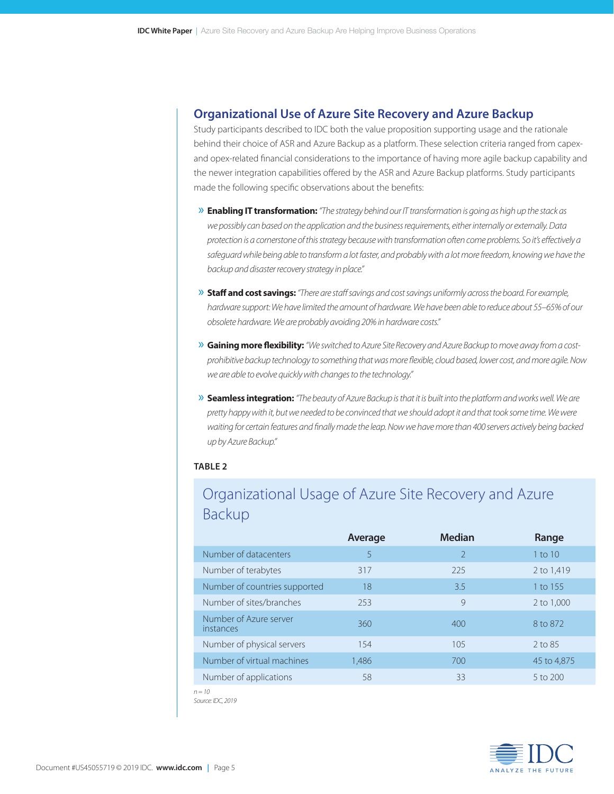### **Organizational Use of Azure Site Recovery and Azure Backup**

Study participants described to IDC both the value proposition supporting usage and the rationale behind their choice of ASR and Azure Backup as a platform. These selection criteria ranged from capexand opex-related financial considerations to the importance of having more agile backup capability and the newer integration capabilities offered by the ASR and Azure Backup platforms. Study participants made the following specific observations about the benefits:

- » **Enabling IT transformation:** *"The strategy behind our IT transformation is going as high up the stack as we possibly can based on the application and the business requirements, either internally or externally. Data protection is a cornerstone of this strategy because with transformation often come problems. So it's effectively a*  safeguard while being able to transform a lot faster, and probably with a lot more freedom, knowing we have the *backup and disaster recovery strategy in place."*
- » **Staff and cost savings:** *"There are staff savings and cost savings uniformly across the board. For example, hardware support: We have limited the amount of hardware. We have been able to reduce about 55–65% of our obsolete hardware. We are probably avoiding 20% in hardware costs."*
- » **Gaining more flexibility:** *"We switched to Azure Site Recovery and Azure Backup to move away from a costprohibitive backup technology to something that was more flexible, cloud based, lower cost, and more agile. Now we are able to evolve quickly with changes to the technology."*
- » **Seamless integration:** *"The beauty of Azure Backup is that it is built into the platform and works well. We are pretty happy with it, but we needed to be convinced that we should adopt it and that took some time. We were waiting for certain features and finally made the leap. Now we have more than 400 servers actively being backed up by Azure Backup."*

#### **TABLE 2**

# Organizational Usage of Azure Site Recovery and Azure Backup

|                                     | Average | <b>Median</b>  | Range        |
|-------------------------------------|---------|----------------|--------------|
| Number of datacenters               | 5       | $\mathfrak{D}$ | 1 to $10$    |
| Number of terabytes                 | 317     | 225            | 2 to 1,419   |
| Number of countries supported       | 18      | 3.5            | 1 to 155     |
| Number of sites/branches            | 253     | 9              | 2 to 1,000   |
| Number of Azure server<br>instances | 360     | 400            | 8 to 872     |
| Number of physical servers          | 154     | 105            | $2$ to 85    |
| Number of virtual machines          | 1,486   | 700            | 45 to 4,875  |
| Number of applications              | 58      | 33             | $5$ to $200$ |
|                                     |         |                |              |

*n = 10 Source: IDC, 2019*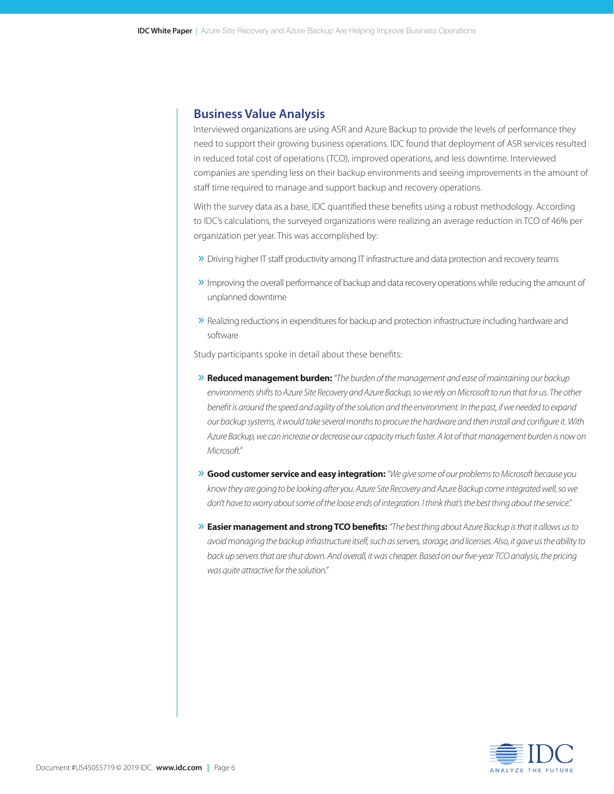#### **Business Value Analysis**

Interviewed organizations are using ASR and Azure Backup to provide the levels of performance they need to support their growing business operations. IDC found that deployment of ASR services resulted in reduced total cost of operations (TCO), improved operations, and less downtime. Interviewed companies are spending less on their backup environments and seeing improvements in the amount of staff time required to manage and support backup and recovery operations.

With the survey data as a base, IDC quantified these benefits using a robust methodology. According to IDC's calculations, the surveyed organizations were realizing an average reduction in TCO of 46% per organization per year. This was accomplished by:

- » Driving higher IT staff productivity among IT infrastructure and data protection and recovery teams
- » Improving the overall performance of backup and data recovery operations while reducing the amount of unplanned downtime
- » Realizing reductions in expenditures for backup and protection infrastructure including hardware and software

Study participants spoke in detail about these benefits:

- » **Reduced management burden:** *"The burden of the management and ease of maintaining our backup environments shifts to Azure Site Recovery and Azure Backup, so we rely on Microsoft to run that for us. The other benefit is around the speed and agility of the solution and the environment. In the past, if we needed to expand our backup systems, it would take several months to procure the hardware and then install and configure it. With Azure Backup, we can increase or decrease our capacity much faster. A lot of that management burden is now on Microsoft."*
- » **Good customer service and easy integration:** *"We give some of our problems to Microsoft because you know they are going to be looking after you. Azure Site Recovery and Azure Backup come integrated well, so we don't have to worry about some of the loose ends of integration. I think that's the best thing about the service."*
- » **Easier management and strong TCO benefits:** *"The best thing about Azure Backup is that it allows us to avoid managing the backup infrastructure itself, such as servers, storage, and licenses. Also, it gave us the ability to*  back up servers that are shut down. And overall, it was cheaper. Based on our five-year TCO analysis, the pricing *was quite attractive for the solution."*

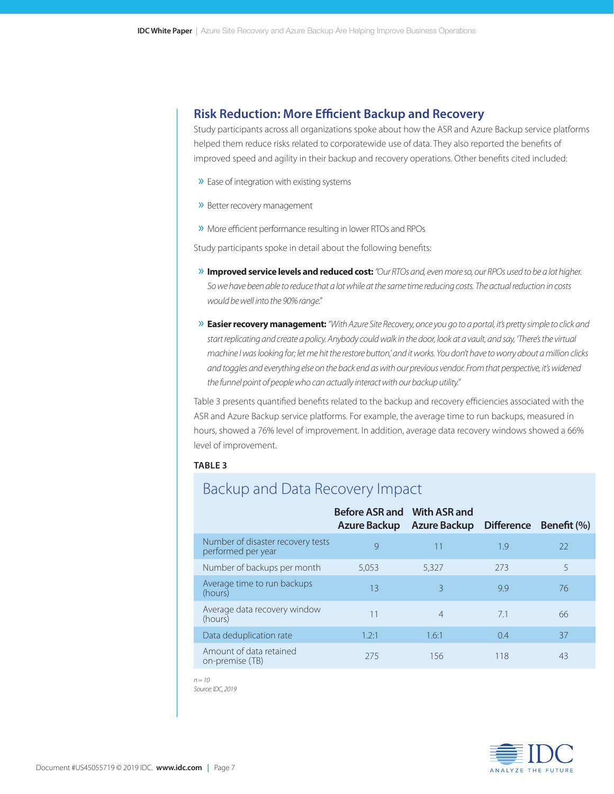### **Risk Reduction: More Efficient Backup and Recovery**

Study participants across all organizations spoke about how the ASR and Azure Backup service platforms helped them reduce risks related to corporatewide use of data. They also reported the benefits of improved speed and agility in their backup and recovery operations. Other benefits cited included:

- » Ease of integration with existing systems
- » Better recovery management
- » More efficient performance resulting in lower RTOs and RPOs

Study participants spoke in detail about the following benefits:

- » **Improved service levels and reduced cost:** *"Our RTOs and, even more so, our RPOs used to be a lot higher. So we have been able to reduce that a lot while at the same time reducing costs. The actual reduction in costs would be well into the 90% range."*
- » **Easier recovery management:** *"With Azure Site Recovery, once you go to a portal, it's pretty simple to click and start replicating and create a policy. Anybody could walk in the door, look at a vault, and say, 'There's the virtual machine I was looking for; let me hit the restore button,' and it works. You don't have to worry about a million clicks and toggles and everything else on the back end as with our previous vendor. From that perspective, it's widened the funnel point of people who can actually interact with our backup utility."*

Table 3 presents quantified benefits related to the backup and recovery efficiencies associated with the ASR and Azure Backup service platforms. For example, the average time to run backups, measured in hours, showed a 76% level of improvement. In addition, average data recovery windows showed a 66% level of improvement.

#### **TABLE 3**

### Backup and Data Recovery Impact

|                                                         | Before ASR and With ASR and<br><b>Azure Backup</b> | Azure Backup Difference  |     | Benefit (%) |
|---------------------------------------------------------|----------------------------------------------------|--------------------------|-----|-------------|
| Number of disaster recovery tests<br>performed per year | 9                                                  | 11                       | 1.9 | 22          |
| Number of backups per month                             | 5,053                                              | 5,327                    | 273 | 5           |
| Average time to run backups<br>(hours)                  | 13                                                 | $\overline{\mathcal{E}}$ | 99  | 76          |
| Average data recovery window<br>(hours)                 | 11                                                 | $\overline{4}$           | 7.1 | 66          |
| Data deduplication rate                                 | 1.2:1                                              | 1.6:1                    | 0.4 | 37          |
| Amount of data retained<br>on-premise (TB)              | 275                                                | 156                      | 118 | 43          |

*n = 10*

*Source: IDC, 2019*

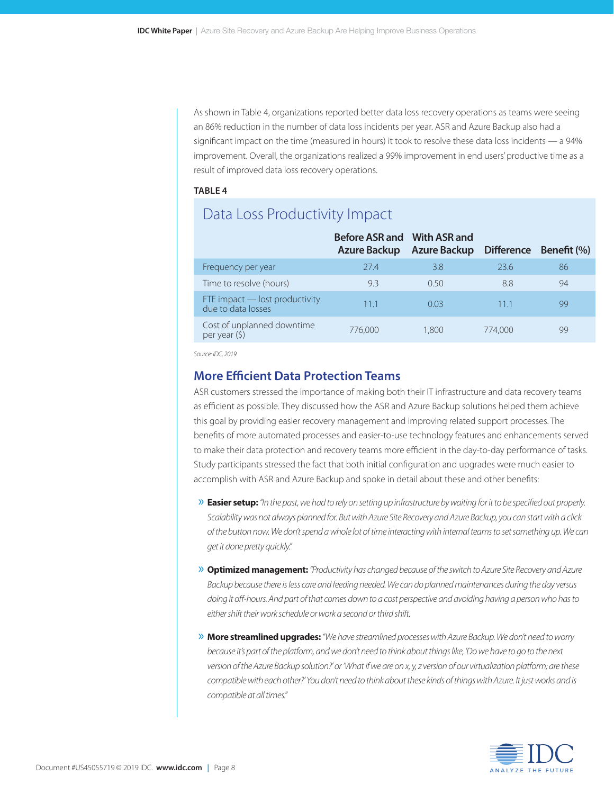As shown in Table 4, organizations reported better data loss recovery operations as teams were seeing an 86% reduction in the number of data loss incidents per year. ASR and Azure Backup also had a significant impact on the time (measured in hours) it took to resolve these data loss incidents — a 94% improvement. Overall, the organizations realized a 99% improvement in end users' productive time as a result of improved data loss recovery operations.

#### **TABLE 4**

# Data Loss Productivity Impact

|                                                      | Before ASR and With ASR and<br><b>Azure Backup</b> | <b>Azure Backup</b> | <b>Difference</b> | Benefit (%) |
|------------------------------------------------------|----------------------------------------------------|---------------------|-------------------|-------------|
| Frequency per year                                   | 274                                                | 3.8                 | 23.6              | 86          |
| Time to resolve (hours)                              | 9.3                                                | 0.50                | 8.8               | 94          |
| FTE impact – lost productivity<br>due to data losses | 111                                                | 0.03                | 111               | qg          |
| Cost of unplanned downtime<br>per year $(5)$         | 776,000                                            | 1.800               | 774,000           |             |

*Source: IDC, 2019*

#### **More Efficient Data Protection Teams**

ASR customers stressed the importance of making both their IT infrastructure and data recovery teams as efficient as possible. They discussed how the ASR and Azure Backup solutions helped them achieve this goal by providing easier recovery management and improving related support processes. The benefits of more automated processes and easier-to-use technology features and enhancements served to make their data protection and recovery teams more efficient in the day-to-day performance of tasks. Study participants stressed the fact that both initial configuration and upgrades were much easier to accomplish with ASR and Azure Backup and spoke in detail about these and other benefits:

- » **Easier setup:** *"In the past, we had to rely on setting up infrastructure by waiting for it to be specified out properly. Scalability was not always planned for. But with Azure Site Recovery and Azure Backup, you can start with a click of the button now. We don't spend a whole lot of time interacting with internal teams to set something up. We can get it done pretty quickly."*
- » **Optimized management:** *"Productivity has changed because of the switch to Azure Site Recovery and Azure Backup because there is less care and feeding needed. We can do planned maintenances during the day versus doing it off-hours. And part of that comes down to a cost perspective and avoiding having a person who has to either shift their work schedule or work a second or third shift.*
- » **More streamlined upgrades:** *"We have streamlined processes with Azure Backup. We don't need to worry*  because it's part of the platform, and we don't need to think about things like, 'Do we have to go to the next *version of the Azure Backup solution?' or 'What if we are on x, y, z version of our virtualization platform; are these compatible with each other?' You don't need to think about these kinds of things with Azure. It just works and is compatible at all times."*

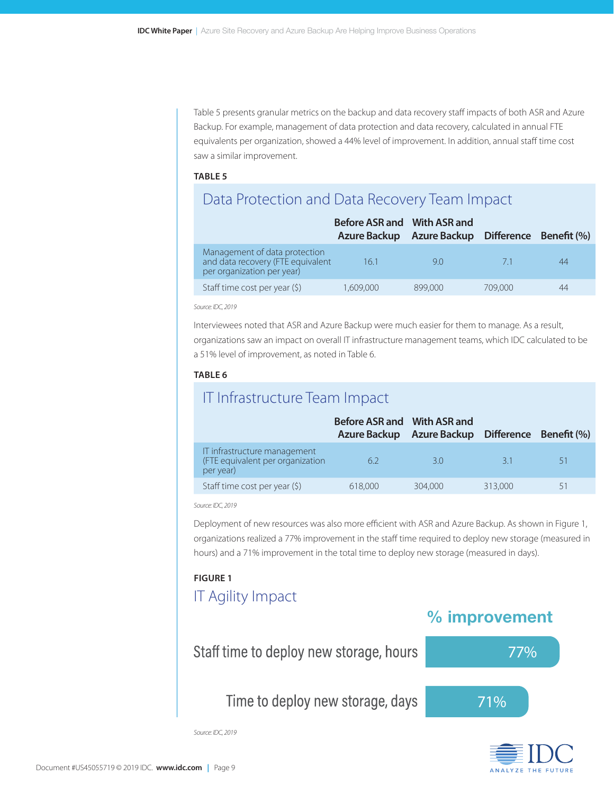Table 5 presents granular metrics on the backup and data recovery staff impacts of both ASR and Azure Backup. For example, management of data protection and data recovery, calculated in annual FTE equivalents per organization, showed a 44% level of improvement. In addition, annual staff time cost saw a similar improvement.

#### **TABLE 5**

# Data Protection and Data Recovery Team Impact

|                                                                                                  | Before ASR and With ASR and<br>Azure Backup | Azure Backup Difference Benefit (%) |         |    |
|--------------------------------------------------------------------------------------------------|---------------------------------------------|-------------------------------------|---------|----|
| Management of data protection<br>and data recovery (FTE equivalent<br>per organization per year) | 161                                         | 90                                  | $-71$   | 44 |
| Staff time cost per year (\$)                                                                    | 1,609,000                                   | 899,000                             | 709,000 | 44 |

*Source: IDC, 2019*

Interviewees noted that ASR and Azure Backup were much easier for them to manage. As a result, organizations saw an impact on overall IT infrastructure management teams, which IDC calculated to be a 51% level of improvement, as noted in Table 6.

#### **TABLE 6**

### IT Infrastructure Team Impact

|                                                                               | Before ASR and With ASR and | Azure Backup Azure Backup Difference Benefit (%) |         |    |
|-------------------------------------------------------------------------------|-----------------------------|--------------------------------------------------|---------|----|
| IT infrastructure management<br>(FTE equivalent per organization<br>per year) | 62                          | 30                                               | 31      | 51 |
| Staff time cost per year (\$)                                                 | 618,000                     | 304,000                                          | 313,000 |    |

*Source: IDC, 2019*

Deployment of new resources was also more efficient with ASR and Azure Backup. As shown in Figure 1, organizations realized a 77% improvement in the staff time required to deploy new storage (measured in hours) and a 71% improvement in the total time to deploy new storage (measured in days).

#### **FIGURE 1**

### IT Agility Impact

### % improvement



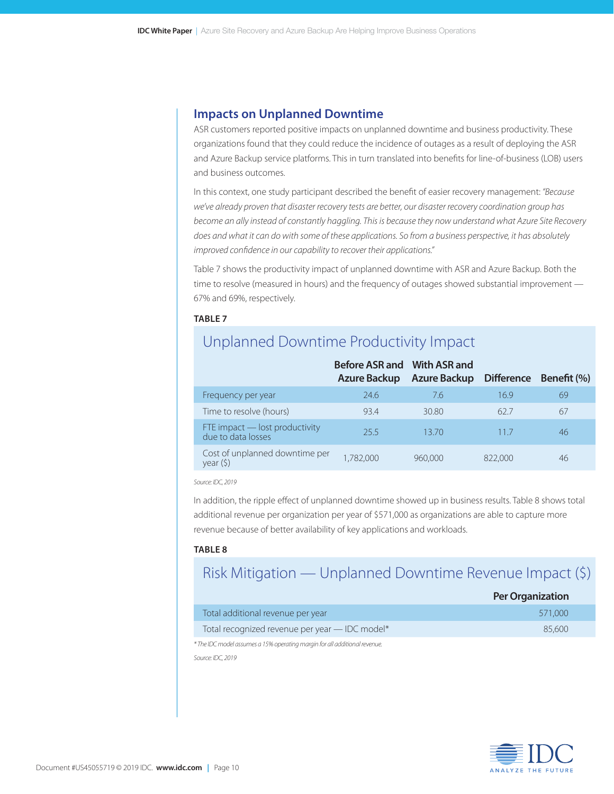### **Impacts on Unplanned Downtime**

ASR customers reported positive impacts on unplanned downtime and business productivity. These organizations found that they could reduce the incidence of outages as a result of deploying the ASR and Azure Backup service platforms. This in turn translated into benefits for line-of-business (LOB) users and business outcomes.

In this context, one study participant described the benefit of easier recovery management: *"Because we've already proven that disaster recovery tests are better, our disaster recovery coordination group has become an ally instead of constantly haggling. This is because they now understand what Azure Site Recovery does and what it can do with some of these applications. So from a business perspective, it has absolutely improved confidence in our capability to recover their applications."*

Table 7 shows the productivity impact of unplanned downtime with ASR and Azure Backup. Both the time to resolve (measured in hours) and the frequency of outages showed substantial improvement — 67% and 69%, respectively.

#### **TABLE 7**

# Unplanned Downtime Productivity Impact

|                                                      | Before ASR and With ASR and<br>Azure Backup | Azure Backup Difference Benefit (%) |         |    |
|------------------------------------------------------|---------------------------------------------|-------------------------------------|---------|----|
| Frequency per year                                   | 24.6                                        | 7.6                                 | 16.9    | 69 |
| Time to resolve (hours)                              | 934                                         | 30.80                               | 627     | 67 |
| FTE impact – lost productivity<br>due to data losses | 255                                         | 13.70                               | 117     | 46 |
| Cost of unplanned downtime per<br>year(5)            | 1,782,000                                   | 960,000                             | 822,000 | 46 |

*Source: IDC, 2019*

In addition, the ripple effect of unplanned downtime showed up in business results. Table 8 shows total additional revenue per organization per year of \$571,000 as organizations are able to capture more revenue because of better availability of key applications and workloads.

#### **TABLE 8**

# Risk Mitigation — Unplanned Downtime Revenue Impact (\$)

|                                                | <b>Per Organization</b> |
|------------------------------------------------|-------------------------|
| Total additional revenue per year              | 571.000                 |
| Total recognized revenue per year - IDC model* | 85.600                  |
|                                                |                         |

*\* The IDC model assumes a 15% operating margin for all additional revenue. Source: IDC, 2019*

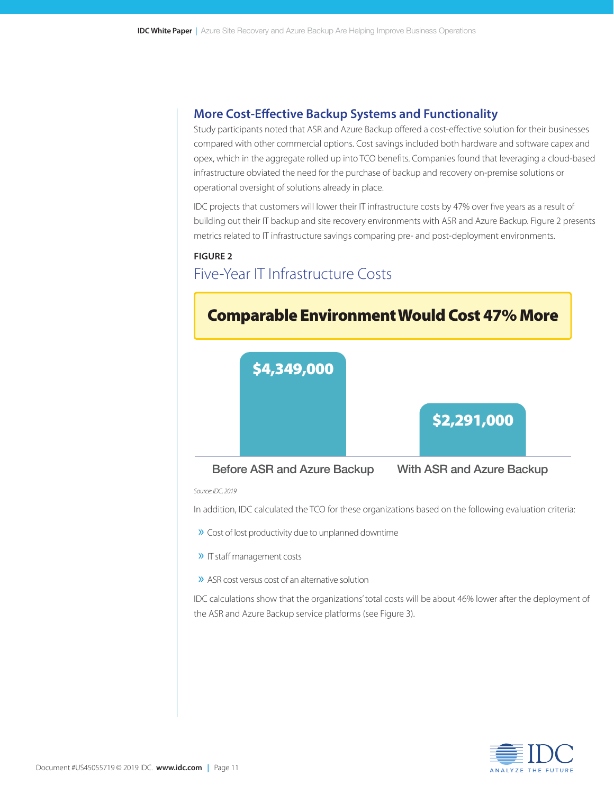### **More Cost-Effective Backup Systems and Functionality**

Study participants noted that ASR and Azure Backup offered a cost-effective solution for their businesses compared with other commercial options. Cost savings included both hardware and software capex and opex, which in the aggregate rolled up into TCO benefits. Companies found that leveraging a cloud-based infrastructure obviated the need for the purchase of backup and recovery on-premise solutions or operational oversight of solutions already in place.

IDC projects that customers will lower their IT infrastructure costs by 47% over five years as a result of building out their IT backup and site recovery environments with ASR and Azure Backup. Figure 2 presents metrics related to IT infrastructure savings comparing pre- and post-deployment environments.

#### **FIGURE 2**

# Five-Year IT Infrastructure Costs



In addition, IDC calculated the TCO for these organizations based on the following evaluation criteria:

- » Cost of lost productivity due to unplanned downtime
- » IT staff management costs
- » ASR cost versus cost of an alternative solution

IDC calculations show that the organizations' total costs will be about 46% lower after the deployment of the ASR and Azure Backup service platforms (see Figure 3).

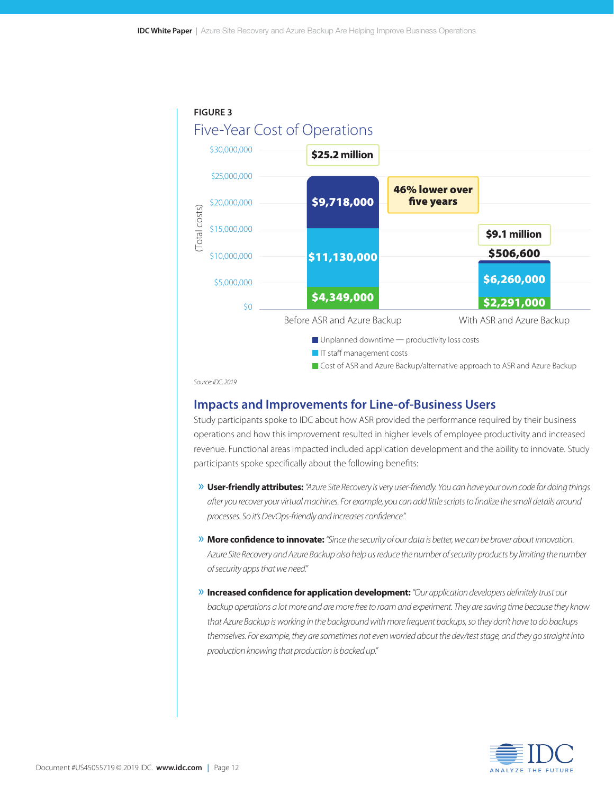

*Source: IDC, 2019*

#### **Impacts and Improvements for Line-of-Business Users**

Study participants spoke to IDC about how ASR provided the performance required by their business operations and how this improvement resulted in higher levels of employee productivity and increased revenue. Functional areas impacted included application development and the ability to innovate. Study participants spoke specifically about the following benefits:

- » **User-friendly attributes:** *"Azure Site Recovery is very user-friendly. You can have your own code for doing things after you recover your virtual machines. For example, you can add little scripts to finalize the small details around processes. So it's DevOps-friendly and increases confidence."*
- » **More confidence to innovate:** *"Since the security of our data is better, we can be braver about innovation. Azure Site Recovery and Azure Backup also help us reduce the number of security products by limiting the number of security apps that we need."*
- » **Increased confidence for application development:** *"Our application developers definitely trust our backup operations a lot more and are more free to roam and experiment. They are saving time because they know that Azure Backup is working in the background with more frequent backups, so they don't have to do backups themselves. For example, they are sometimes not even worried about the dev/test stage, and they go straight into production knowing that production is backed up."*

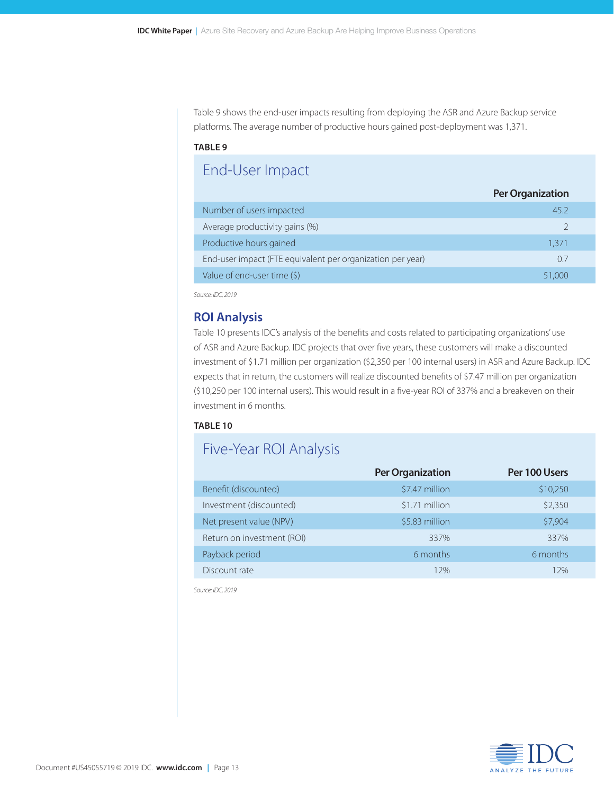Table 9 shows the end-user impacts resulting from deploying the ASR and Azure Backup service platforms. The average number of productive hours gained post-deployment was 1,371.

#### **TABLE 9**

# End-User Impact

|                                                            | <b>Per Organization</b> |
|------------------------------------------------------------|-------------------------|
| Number of users impacted                                   | 45.2                    |
| Average productivity gains (%)                             |                         |
| Productive hours gained                                    | 1.371                   |
| End-user impact (FTE equivalent per organization per year) | 07                      |
| Value of end-user time (\$)                                | 51,000                  |
|                                                            |                         |

*Source: IDC, 2019*

#### **ROI Analysis**

Table 10 presents IDC's analysis of the benefits and costs related to participating organizations' use of ASR and Azure Backup. IDC projects that over five years, these customers will make a discounted investment of \$1.71 million per organization (\$2,350 per 100 internal users) in ASR and Azure Backup. IDC expects that in return, the customers will realize discounted benefits of \$7.47 million per organization (\$10,250 per 100 internal users). This would result in a five-year ROI of 337% and a breakeven on their investment in 6 months.

#### **TABLE 10**

### Five-Year ROI Analysis

|                            | <b>Per Organization</b> | Per 100 Users |
|----------------------------|-------------------------|---------------|
| Benefit (discounted)       | \$7.47 million          | \$10,250      |
| Investment (discounted)    | \$1.71 million          | \$2,350       |
| Net present value (NPV)    | \$5.83 million          | \$7,904       |
| Return on investment (ROI) | 337%                    | 337%          |
| Payback period             | 6 months                | 6 months      |
| Discount rate              | 12%                     | 12%           |

*Source: IDC, 2019*

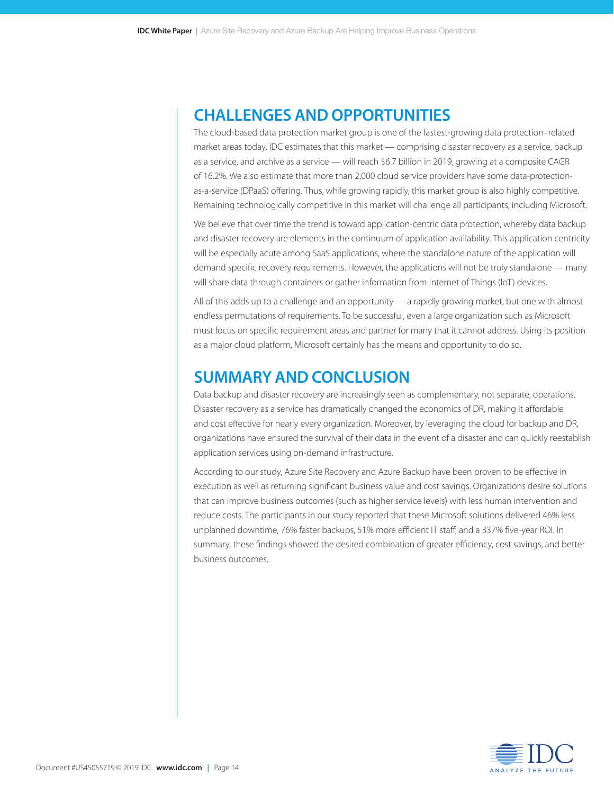# **CHALLENGES AND OPPORTUNITIES**

The cloud-based data protection market group is one of the fastest-growing data protection–related market areas today. IDC estimates that this market — comprising disaster recovery as a service, backup as a service, and archive as a service — will reach \$6.7 billion in 2019, growing at a composite CAGR of 16.2%. We also estimate that more than 2,000 cloud service providers have some data-protectionas-a-service (DPaaS) offering. Thus, while growing rapidly, this market group is also highly competitive. Remaining technologically competitive in this market will challenge all participants, including Microsoft.

We believe that over time the trend is toward application-centric data protection, whereby data backup and disaster recovery are elements in the continuum of application availability. This application centricity will be especially acute among SaaS applications, where the standalone nature of the application will demand specific recovery requirements. However, the applications will not be truly standalone — many will share data through containers or gather information from Internet of Things (IoT) devices.

All of this adds up to a challenge and an opportunity — a rapidly growing market, but one with almost endless permutations of requirements. To be successful, even a large organization such as Microsoft must focus on specific requirement areas and partner for many that it cannot address. Using its position as a major cloud platform, Microsoft certainly has the means and opportunity to do so.

### **SUMMARY AND CONCLUSION**

Data backup and disaster recovery are increasingly seen as complementary, not separate, operations. Disaster recovery as a service has dramatically changed the economics of DR, making it affordable and cost effective for nearly every organization. Moreover, by leveraging the cloud for backup and DR, organizations have ensured the survival of their data in the event of a disaster and can quickly reestablish application services using on-demand infrastructure.

According to our study, Azure Site Recovery and Azure Backup have been proven to be effective in execution as well as returning significant business value and cost savings. Organizations desire solutions that can improve business outcomes (such as higher service levels) with less human intervention and reduce costs. The participants in our study reported that these Microsoft solutions delivered 46% less unplanned downtime, 76% faster backups, 51% more efficient IT staff, and a 337% five-year ROI. In summary, these findings showed the desired combination of greater efficiency, cost savings, and better business outcomes.

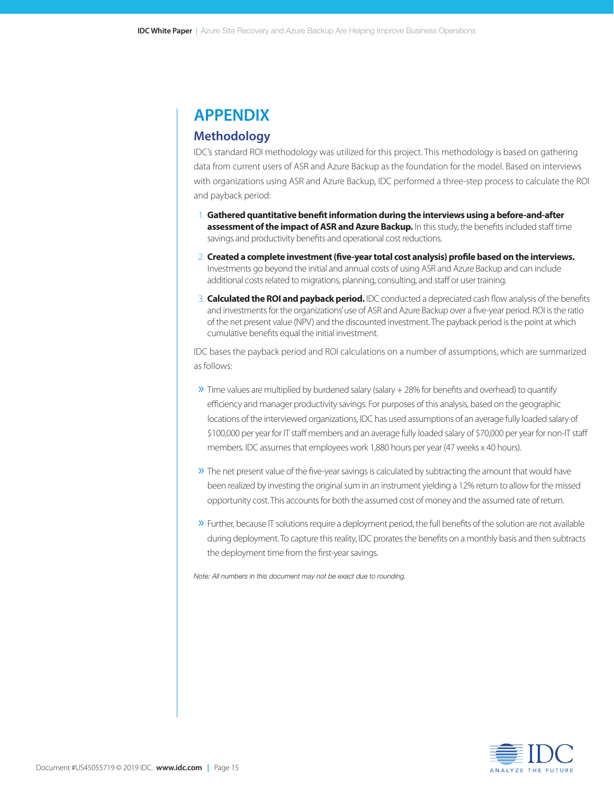# **APPENDIX**

### **Methodology**

IDC's standard ROI methodology was utilized for this project. This methodology is based on gathering data from current users of ASR and Azure Backup as the foundation for the model. Based on interviews with organizations using ASR and Azure Backup, IDC performed a three-step process to calculate the ROI and payback period:

- 1. **Gathered quantitative benefit information during the interviews using a before-and-after assessment of the impact of ASR and Azure Backup.** In this study, the benefits included staff time savings and productivity benefits and operational cost reductions.
- 2. **Created a complete investment (five-year total cost analysis) profile based on the interviews.** Investments go beyond the initial and annual costs of using ASR and Azure Backup and can include additional costs related to migrations, planning, consulting, and staff or user training.
- 3. **Calculated the ROI and payback period.** IDC conducted a depreciated cash flow analysis of the benefits and investments for the organizations' use of ASR and Azure Backup over a five-year period. ROI is the ratio of the net present value (NPV) and the discounted investment. The payback period is the point at which cumulative benefits equal the initial investment.

IDC bases the payback period and ROI calculations on a number of assumptions, which are summarized as follows:

- $\gg$  Time values are multiplied by burdened salary (salary + 28% for benefits and overhead) to quantify efficiency and manager productivity savings. For purposes of this analysis, based on the geographic locations of the interviewed organizations, IDC has used assumptions of an average fully loaded salary of \$100,000 per year for IT staff members and an average fully loaded salary of \$70,000 per year for non-IT staff members. IDC assumes that employees work 1,880 hours per year (47 weeks x 40 hours).
- » The net present value of the five-year savings is calculated by subtracting the amount that would have been realized by investing the original sum in an instrument yielding a 12% return to allow for the missed opportunity cost. This accounts for both the assumed cost of money and the assumed rate of return.
- » Further, because IT solutions require a deployment period, the full benefits of the solution are not available during deployment. To capture this reality, IDC prorates the benefits on a monthly basis and then subtracts the deployment time from the first-year savings.

*Note: All numbers in this document may not be exact due to rounding.*